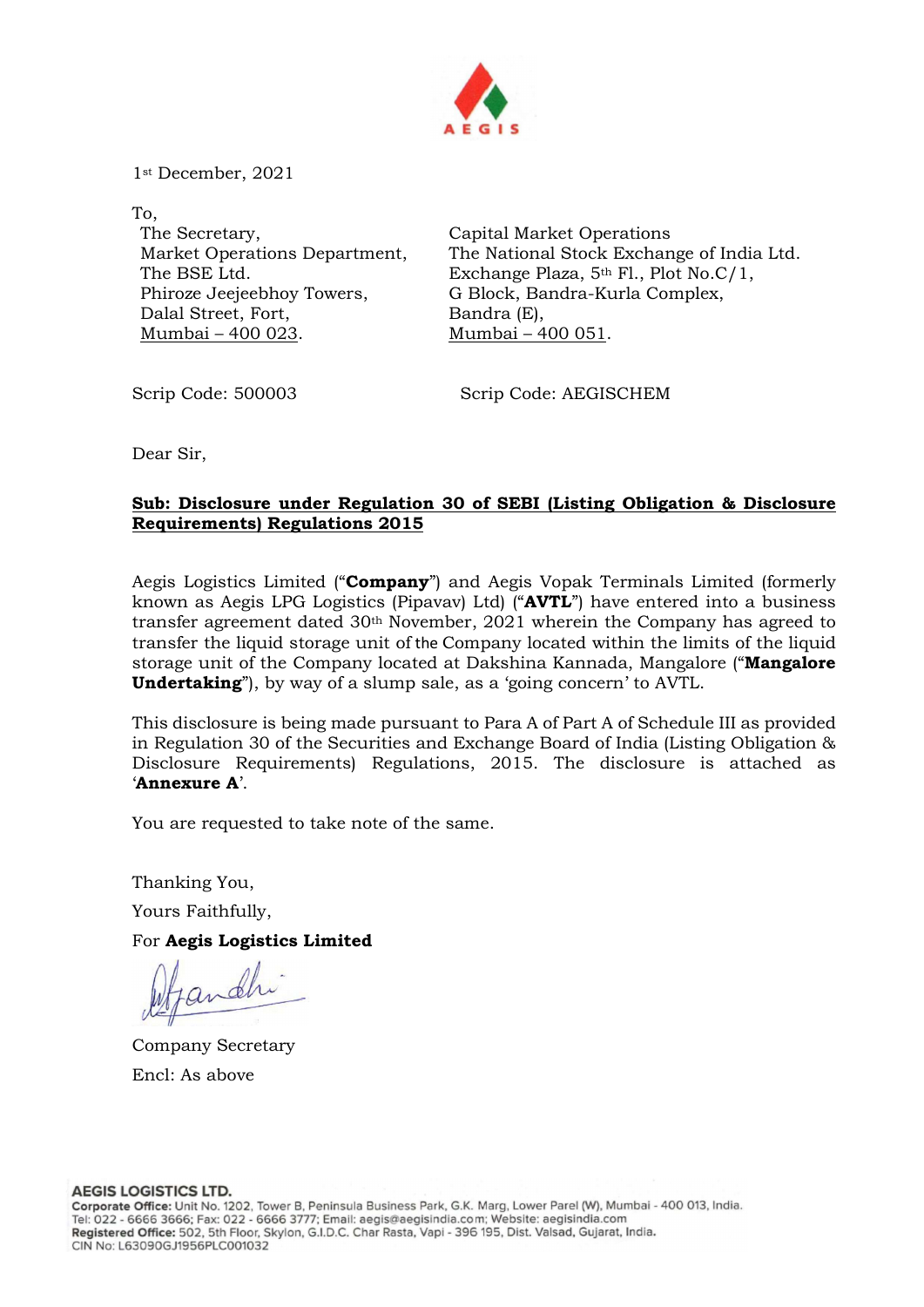

1st December, 2021

To, The Secretary, Market Operations Department, The BSE Ltd. Phiroze Jeejeebhoy Towers, Dalal Street, Fort, Mumbai – 400 023.

Capital Market Operations The National Stock Exchange of India Ltd. Exchange Plaza, 5th Fl., Plot No.C/1, G Block, Bandra-Kurla Complex, Bandra (E), Mumbai – 400 051.

Scrip Code: 500003 Scrip Code: AEGISCHEM

Dear Sir,

## Sub: Disclosure under Regulation 30 of SEBI (Listing Obligation & Disclosure Requirements) Regulations 2015

Aegis Logistics Limited ("**Company**") and Aegis Vopak Terminals Limited (formerly known as Aegis LPG Logistics (Pipavav) Ltd) ("AVTL") have entered into a business transfer agreement dated  $30<sup>th</sup>$  November, 2021 wherein the Company has agreed to transfer the liquid storage unit of the Company located within the limits of the liquid storage unit of the Company located at Dakshina Kannada, Mangalore ("Mangalore **Undertaking**", by way of a slump sale, as a 'going concern' to AVTL.

This disclosure is being made pursuant to Para A of Part A of Schedule III as provided in Regulation 30 of the Securities and Exchange Board of India (Listing Obligation & Disclosure Requirements) Regulations, 2015. The disclosure is attached as 'Annexure A'.

You are requested to take note of the same.

Thanking You,

Yours Faithfully,

For Aegis Logistics Limited

Company Secretary Encl: As above

**AEGIS LOGISTICS LTD.**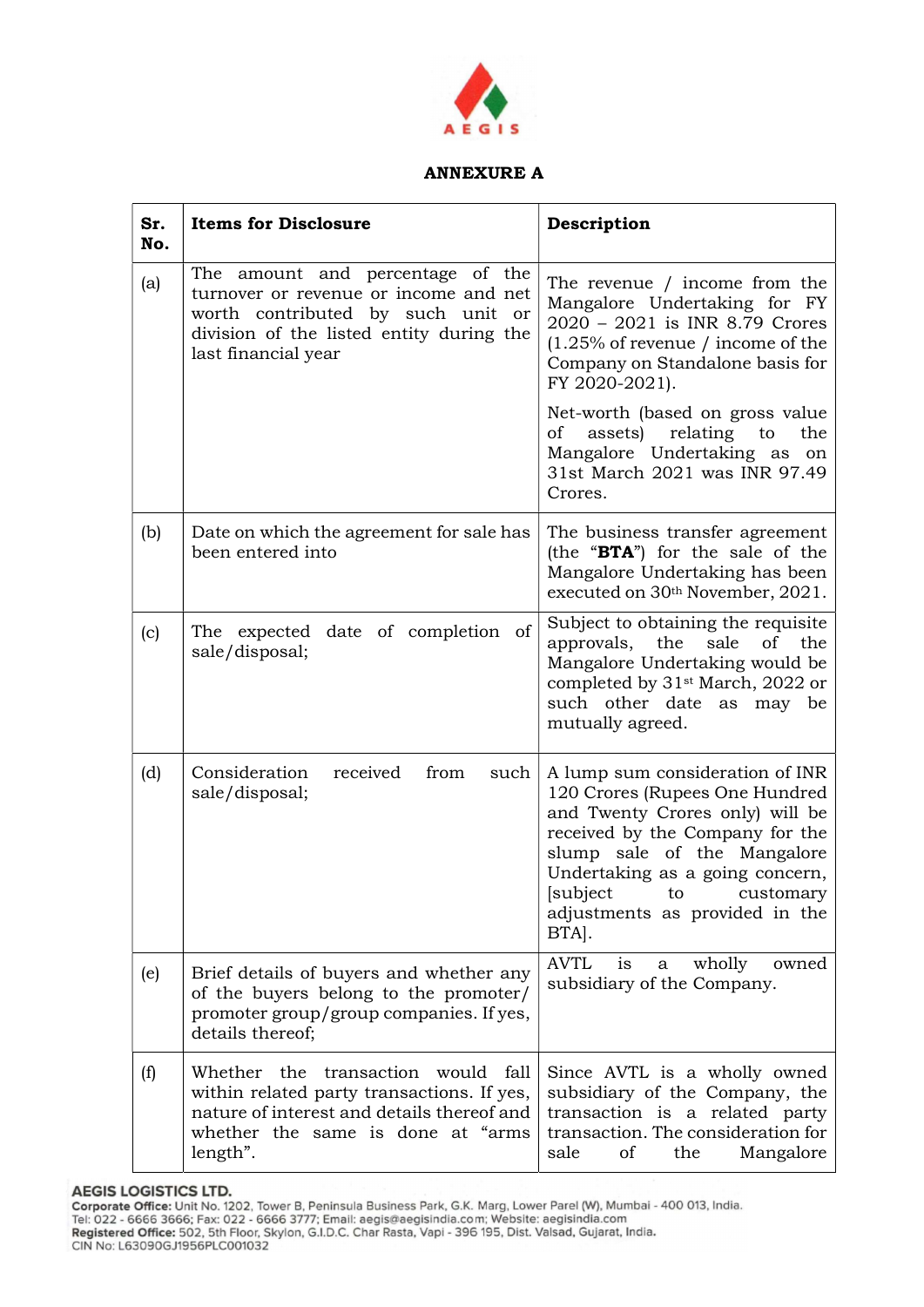

## ANNEXURE A

| Sr.<br>No. | <b>Items for Disclosure</b>                                                                                                                                                            | Description                                                                                                                                                                                                                                                                         |
|------------|----------------------------------------------------------------------------------------------------------------------------------------------------------------------------------------|-------------------------------------------------------------------------------------------------------------------------------------------------------------------------------------------------------------------------------------------------------------------------------------|
| (a)        | The amount and percentage of the<br>turnover or revenue or income and net<br>worth contributed by such unit or<br>division of the listed entity during the<br>last financial year      | The revenue / income from the<br>Mangalore Undertaking for FY<br>2020 - 2021 is INR 8.79 Crores<br>$(1.25\%$ of revenue / income of the<br>Company on Standalone basis for<br>FY 2020-2021).                                                                                        |
|            |                                                                                                                                                                                        | Net-worth (based on gross value<br>of<br>assets)<br>relating<br>to<br>the<br>Mangalore Undertaking as on<br>31st March 2021 was INR 97.49<br>Crores.                                                                                                                                |
| (b)        | Date on which the agreement for sale has<br>been entered into                                                                                                                          | The business transfer agreement<br>(the "BTA") for the sale of the<br>Mangalore Undertaking has been<br>executed on 30th November, 2021.                                                                                                                                            |
| (c)        | The expected date of completion of<br>sale/disposal;                                                                                                                                   | Subject to obtaining the requisite<br>approvals, the<br>sale<br>of<br>the<br>Mangalore Undertaking would be<br>completed by 31 <sup>st</sup> March, 2022 or<br>such other date as may be<br>mutually agreed.                                                                        |
| (d)        | Consideration<br>received<br>from<br>such<br>sale/disposal;                                                                                                                            | A lump sum consideration of INR<br>120 Crores (Rupees One Hundred<br>and Twenty Crores only) will be<br>received by the Company for the<br>slump sale of the Mangalore<br>Undertaking as a going concern,<br>[subject]<br>to<br>customary<br>adjustments as provided in the<br>BTA. |
| (e)        | Brief details of buyers and whether any<br>of the buyers belong to the promoter/<br>promoter group/group companies. If yes,<br>details thereof;                                        | <b>AVTL</b><br>is<br>wholly<br>owned<br>a<br>subsidiary of the Company.                                                                                                                                                                                                             |
| (f)        | transaction<br>Whether the<br>would fall<br>within related party transactions. If yes,<br>nature of interest and details thereof and<br>whether the same is done at "arms"<br>length". | Since AVTL is a wholly owned<br>subsidiary of the Company, the<br>transaction is a related party<br>transaction. The consideration for<br>sale<br>of<br>the<br>Mangalore                                                                                                            |

AEGIS LOGISTICS LTD.<br>Corporate Office: Unit No. 1202, Tower B, Peninsula Business Park, G.K. Marg, Lower Parel (W), Mumbai - 400 013, India.<br>Tel: 022 - 6666 3666; Fax: 022 - 6666 3777; Email: aegis@aegisindia.com; Website: